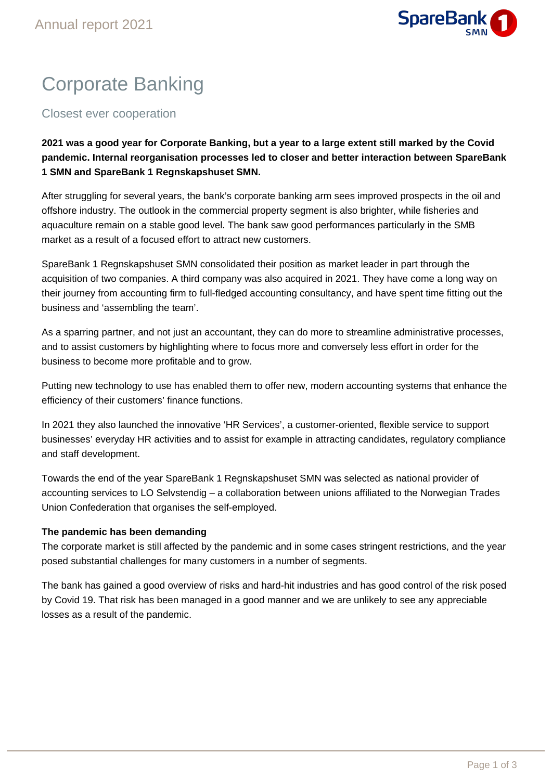

# Corporate Banking

Closest ever cooperation

**2021 was a good year for Corporate Banking, but a year to a large extent still marked by the Covid pandemic. Internal reorganisation processes led to closer and better interaction between SpareBank 1 SMN and SpareBank 1 Regnskapshuset SMN.**

After struggling for several years, the bank's corporate banking arm sees improved prospects in the oil and offshore industry. The outlook in the commercial property segment is also brighter, while fisheries and aquaculture remain on a stable good level. The bank saw good performances particularly in the SMB market as a result of a focused effort to attract new customers.

SpareBank 1 Regnskapshuset SMN consolidated their position as market leader in part through the acquisition of two companies. A third company was also acquired in 2021. They have come a long way on their journey from accounting firm to full-fledged accounting consultancy, and have spent time fitting out the business and 'assembling the team'.

As a sparring partner, and not just an accountant, they can do more to streamline administrative processes, and to assist customers by highlighting where to focus more and conversely less effort in order for the business to become more profitable and to grow.

Putting new technology to use has enabled them to offer new, modern accounting systems that enhance the efficiency of their customers' finance functions.

In 2021 they also launched the innovative 'HR Services', a customer-oriented, flexible service to support businesses' everyday HR activities and to assist for example in attracting candidates, regulatory compliance and staff development.

Towards the end of the year SpareBank 1 Regnskapshuset SMN was selected as national provider of accounting services to LO Selvstendig – a collaboration between unions affiliated to the Norwegian Trades Union Confederation that organises the self-employed.

## **The pandemic has been demanding**

The corporate market is still affected by the pandemic and in some cases stringent restrictions, and the year posed substantial challenges for many customers in a number of segments.

The bank has gained a good overview of risks and hard-hit industries and has good control of the risk posed by Covid 19. That risk has been managed in a good manner and we are unlikely to see any appreciable losses as a result of the pandemic.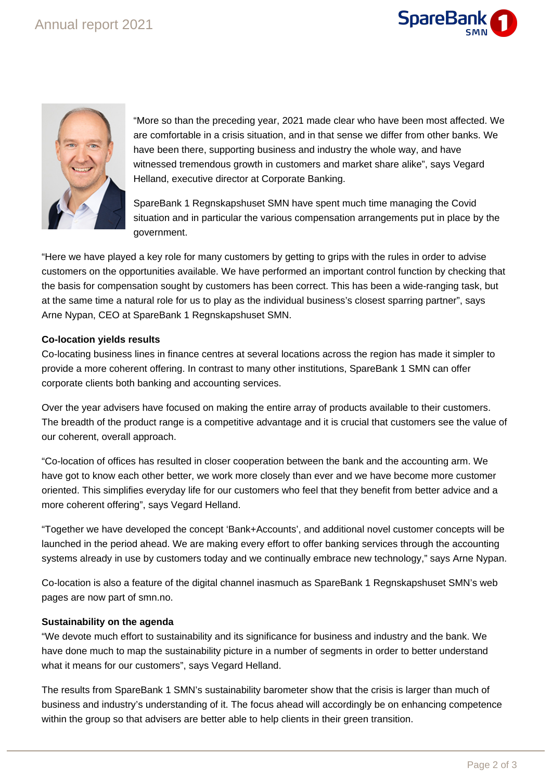



"More so than the preceding year, 2021 made clear who have been most affected. We are comfortable in a crisis situation, and in that sense we differ from other banks. We have been there, supporting business and industry the whole way, and have witnessed tremendous growth in customers and market share alike", says Vegard Helland, executive director at Corporate Banking.

SpareBank 1 Regnskapshuset SMN have spent much time managing the Covid situation and in particular the various compensation arrangements put in place by the government.

"Here we have played a key role for many customers by getting to grips with the rules in order to advise customers on the opportunities available. We have performed an important control function by checking that the basis for compensation sought by customers has been correct. This has been a wide-ranging task, but at the same time a natural role for us to play as the individual business's closest sparring partner", says Arne Nypan, CEO at SpareBank 1 Regnskapshuset SMN.

### **Co-location yields results**

Co-locating business lines in finance centres at several locations across the region has made it simpler to provide a more coherent offering. In contrast to many other institutions, SpareBank 1 SMN can offer corporate clients both banking and accounting services.

Over the year advisers have focused on making the entire array of products available to their customers. The breadth of the product range is a competitive advantage and it is crucial that customers see the value of our coherent, overall approach.

"Co-location of offices has resulted in closer cooperation between the bank and the accounting arm. We have got to know each other better, we work more closely than ever and we have become more customer oriented. This simplifies everyday life for our customers who feel that they benefit from better advice and a more coherent offering", says Vegard Helland.

"Together we have developed the concept 'Bank+Accounts', and additional novel customer concepts will be launched in the period ahead. We are making every effort to offer banking services through the accounting systems already in use by customers today and we continually embrace new technology," says Arne Nypan.

Co-location is also a feature of the digital channel inasmuch as SpareBank 1 Regnskapshuset SMN's web pages are now part of smn.no.

### **Sustainability on the agenda**

"We devote much effort to sustainability and its significance for business and industry and the bank. We have done much to map the sustainability picture in a number of segments in order to better understand what it means for our customers", says Vegard Helland.

The results from SpareBank 1 SMN's sustainability barometer show that the crisis is larger than much of business and industry's understanding of it. The focus ahead will accordingly be on enhancing competence within the group so that advisers are better able to help clients in their green transition.